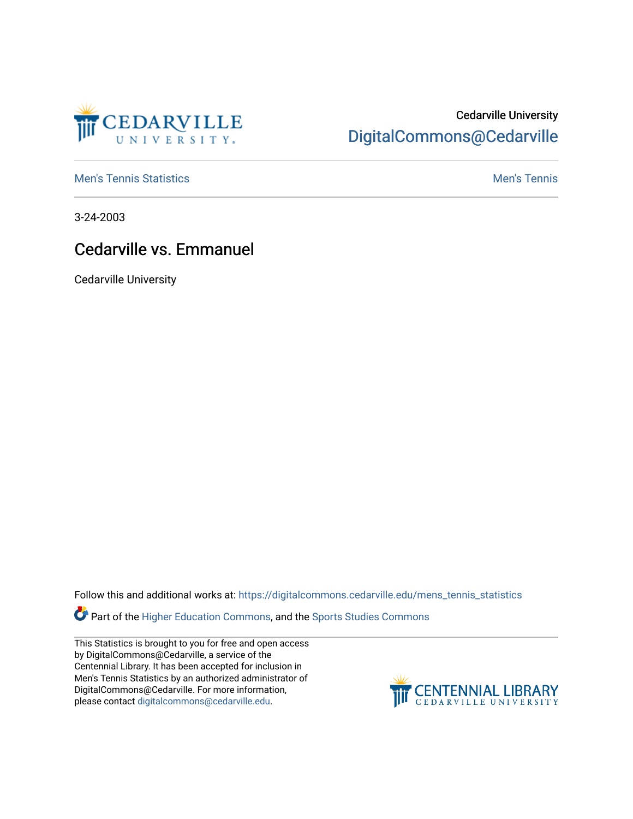

## Cedarville University [DigitalCommons@Cedarville](https://digitalcommons.cedarville.edu/)

**[Men's Tennis Statistics](https://digitalcommons.cedarville.edu/mens_tennis_statistics) Mental According to the Control of Control According Mental Men's Tennis** 

3-24-2003

## Cedarville vs. Emmanuel

Cedarville University

Follow this and additional works at: [https://digitalcommons.cedarville.edu/mens\\_tennis\\_statistics](https://digitalcommons.cedarville.edu/mens_tennis_statistics?utm_source=digitalcommons.cedarville.edu%2Fmens_tennis_statistics%2F534&utm_medium=PDF&utm_campaign=PDFCoverPages)

**Part of the [Higher Education Commons,](http://network.bepress.com/hgg/discipline/1245?utm_source=digitalcommons.cedarville.edu%2Fmens_tennis_statistics%2F534&utm_medium=PDF&utm_campaign=PDFCoverPages) and the Sports Studies Commons** 

This Statistics is brought to you for free and open access by DigitalCommons@Cedarville, a service of the Centennial Library. It has been accepted for inclusion in Men's Tennis Statistics by an authorized administrator of DigitalCommons@Cedarville. For more information, please contact [digitalcommons@cedarville.edu](mailto:digitalcommons@cedarville.edu).